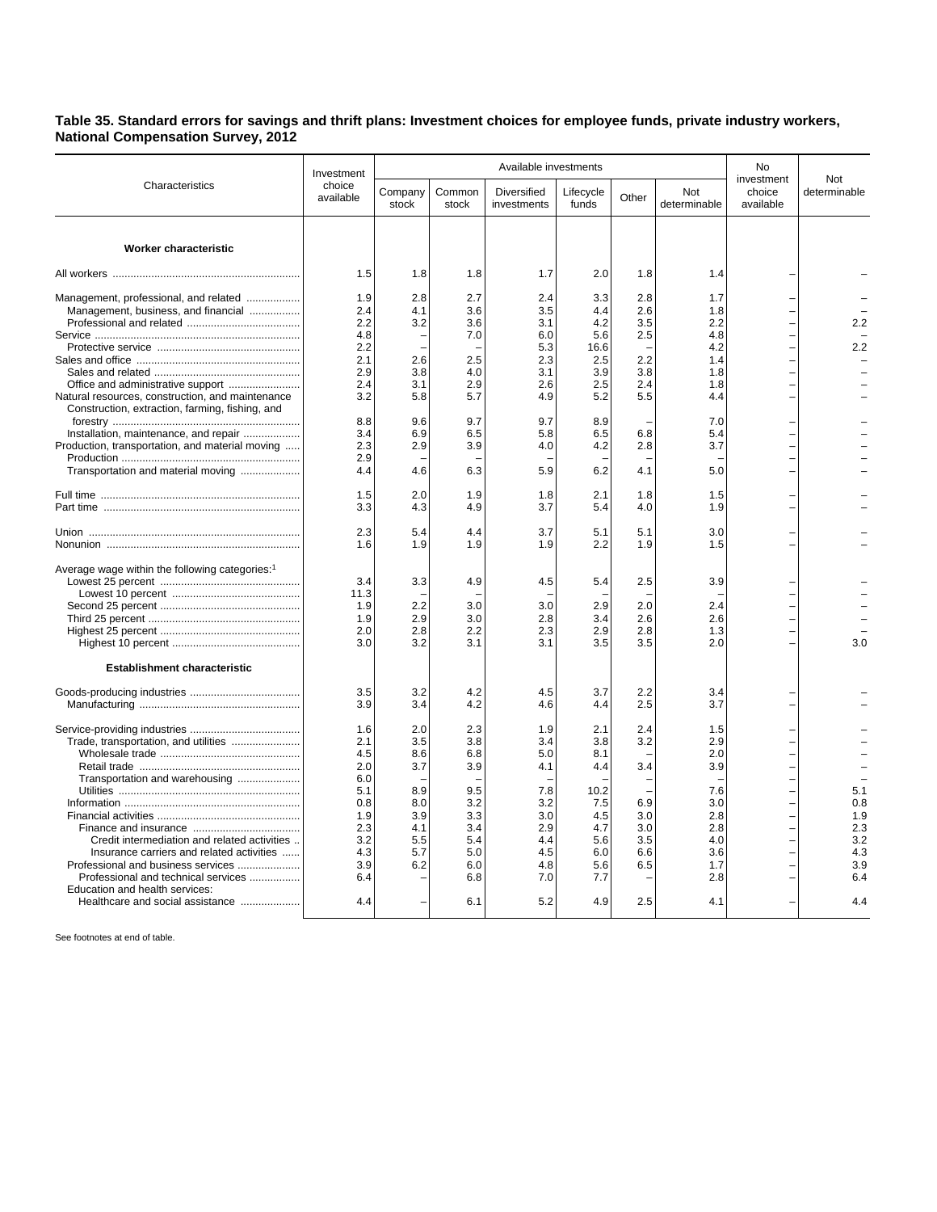**Table 35. Standard errors for savings and thrift plans: Investment choices for employee funds, private industry workers, National Compensation Survey, 2012**

|                                                            |                                   | Available investments |                 |                            |                    |            |                     |                                   |                     |
|------------------------------------------------------------|-----------------------------------|-----------------------|-----------------|----------------------------|--------------------|------------|---------------------|-----------------------------------|---------------------|
|                                                            | Investment<br>choice<br>available |                       |                 | No                         |                    |            |                     |                                   |                     |
| Characteristics                                            |                                   | Company<br>stock      | Common<br>stock | Diversified<br>investments | Lifecycle<br>funds | Other      | Not<br>determinable | investment<br>choice<br>available | Not<br>determinable |
|                                                            |                                   |                       |                 |                            |                    |            |                     |                                   |                     |
| <b>Worker characteristic</b>                               |                                   |                       |                 |                            |                    |            |                     |                                   |                     |
|                                                            | 1.5                               | 1.8                   | 1.8             | 1.7                        | 2.0                | 1.8        | 1.4                 |                                   |                     |
| Management, professional, and related                      | 1.9                               | 2.8                   | 2.7             | 2.4                        | 3.3                | 2.8        | 1.7                 |                                   |                     |
| Management, business, and financial                        | 2.4                               | 4.1                   | 3.6             | 3.5                        | 4.4                | 2.6        | 1.8                 |                                   |                     |
|                                                            | 2.2                               | 3.2                   | 3.6             | 3.1                        | 4.2                | 3.5        | 2.2                 |                                   | 2.2                 |
|                                                            | 4.8                               |                       | 7.0             | 6.0                        | 5.6                | 2.5        | 4.8                 |                                   |                     |
|                                                            | 2.2                               |                       |                 | 5.3                        | 16.6               |            | 4.2                 |                                   | 2.2                 |
|                                                            | 2.1                               | 2.6                   | 2.5             | 2.3                        | 2.5                | 2.2        | 1.4                 |                                   |                     |
|                                                            | 2.9                               | 3.8                   | 4.0             | 3.1                        | 3.9                | 3.8        | 1.8                 |                                   |                     |
| Natural resources, construction, and maintenance           | 2.4<br>3.2                        | 3.1<br>5.8            | 2.9<br>5.7      | 2.6<br>4.9                 | 2.5<br>5.2         | 2.4<br>5.5 | 1.8<br>4.4          |                                   |                     |
| Construction, extraction, farming, fishing, and            |                                   |                       |                 |                            |                    |            |                     |                                   |                     |
| Installation, maintenance, and repair                      | 8.8<br>3.4                        | 9.6<br>6.9            | 9.7<br>6.5      | 9.7<br>5.8                 | 8.9<br>6.5         | 6.8        | 7.0<br>5.4          |                                   |                     |
| Production, transportation, and material moving            | 2.3                               | 2.9                   | 3.9             | 4.0                        | 4.2                | 2.8        | 3.7                 |                                   |                     |
|                                                            | 2.9                               |                       |                 |                            |                    |            |                     |                                   |                     |
| Transportation and material moving                         | 4.4                               | 4.6                   | 6.3             | 5.9                        | 6.2                | 4.1        | 5.0                 |                                   |                     |
|                                                            | 1.5                               | 2.0                   | 1.9             | 1.8                        | 2.1                | 1.8        | 1.5                 |                                   |                     |
|                                                            | 3.3                               | 4.3                   | 4.9             | 3.7                        | 5.4                | 4.0        | 1.9                 |                                   |                     |
|                                                            | 2.3                               | 5.4                   | 4.4             | 3.7                        | 5.1                | 5.1        | 3.0                 |                                   |                     |
|                                                            | 1.6                               | 1.9                   | 1.9             | 1.9                        | 2.2                | 1.9        | 1.5                 |                                   |                     |
| Average wage within the following categories: <sup>1</sup> |                                   |                       |                 |                            |                    |            |                     |                                   |                     |
|                                                            | 3.4                               | 3.3                   | 4.9             | 4.5                        | 5.4                | 2.5        | 3.9                 |                                   |                     |
|                                                            | 11.3                              |                       |                 |                            |                    |            |                     |                                   |                     |
|                                                            | 1.9                               | 2.2                   | 3.0             | 3.0                        | 2.9                | 2.0        | 2.4                 |                                   |                     |
|                                                            | 1.9                               | 2.9                   | 3.0             | 2.8                        | 3.4                | 2.6        | 2.6                 |                                   |                     |
|                                                            | 2.0<br>3.0                        | 2.8<br>3.2            | 2.2<br>3.1      | 2.3<br>3.1                 | 2.9<br>3.5         | 2.8<br>3.5 | 1.3<br>2.0          |                                   | 3.0                 |
|                                                            |                                   |                       |                 |                            |                    |            |                     |                                   |                     |
| <b>Establishment characteristic</b>                        |                                   |                       |                 |                            |                    |            |                     |                                   |                     |
|                                                            | 3.5                               | 3.2                   | 4.2             | 4.5                        | 3.7                | 2.2        | 3.4                 |                                   |                     |
|                                                            | 3.9                               | 3.4                   | 4.2             | 4.6                        | 4.4                | 2.5        | 3.7                 |                                   |                     |
|                                                            | 1.6                               | 2.0                   | 2.3             | 1.9                        | 2.1                | 2.4        | 1.5                 |                                   |                     |
| Trade, transportation, and utilities                       | 2.1                               | 3.5                   | 3.8             | 3.4                        | 3.8                | 3.2        | 2.9                 |                                   |                     |
|                                                            | 4.5                               | 8.6                   | 6.8             | 5.0                        | 8.1                |            | 2.0                 |                                   |                     |
|                                                            | 2.0                               | 3.7                   | 3.9             | 4.1                        | 4.4                | 3.4        | 3.9                 |                                   |                     |
| Transportation and warehousing                             | 6.0                               |                       |                 |                            |                    |            |                     |                                   |                     |
|                                                            | 5.1                               | 8.9                   | 9.5             | 7.8                        | 10.2               |            | 7.6                 |                                   | 5.1                 |
|                                                            | 0.8<br>1.9                        | 8.0<br>3.9            | 3.2<br>3.3      | 3.2<br>3.0                 | 7.5<br>4.5         | 6.9<br>3.0 | 3.0<br>2.8          |                                   | 0.8<br>1.9          |
|                                                            | 2.3                               | 4.1                   | 3.4             | 2.9                        | 4.7                | 3.0        | 2.8                 |                                   | 2.3                 |
| Credit intermediation and related activities               | 3.2                               | 5.5                   | 5.4             | 4.4                        | 5.6                | 3.5        | 4.0                 |                                   | 3.2                 |
| Insurance carriers and related activities                  | 4.3                               | 5.7                   | 5.0             | 4.5                        | 6.0                | 6.6        | 3.6                 |                                   | 4.3                 |
| Professional and business services                         | 3.9                               | 6.2                   | 6.0             | 4.8                        | 5.6                | 6.5        | 1.7                 |                                   | 3.9                 |
| Professional and technical services                        | 6.4                               |                       | 6.8             | 7.0                        | 7.7                |            | 2.8                 |                                   | 6.4                 |
| Education and health services:                             |                                   |                       |                 |                            |                    |            |                     |                                   |                     |
| Healthcare and social assistance                           | 4.4                               |                       | 6.1             | 5.2                        | 4.9                | 2.5        | 4.1                 |                                   | 4.4                 |

See footnotes at end of table.